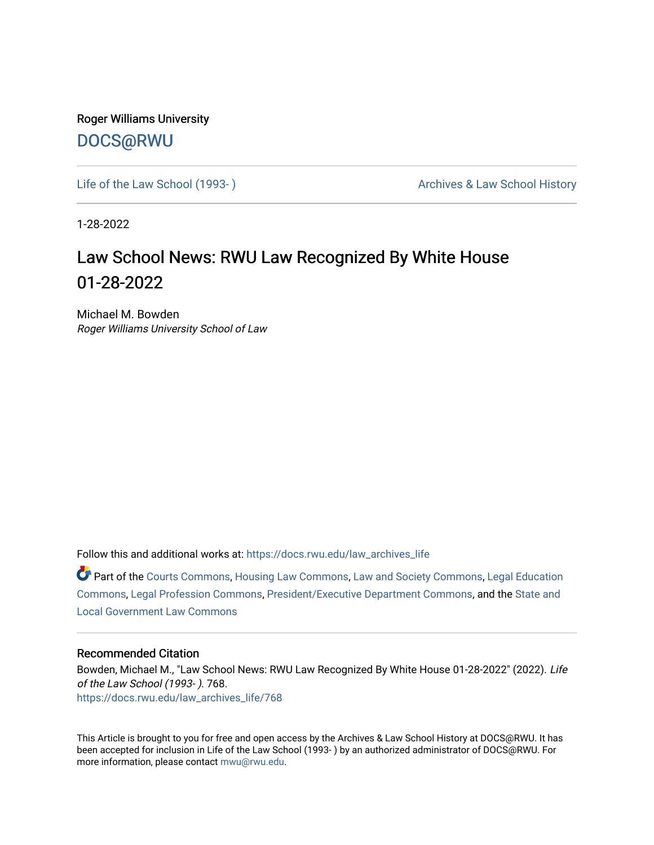Roger Williams University [DOCS@RWU](https://docs.rwu.edu/)

Life of the Law School (1993-) Case Archives & Law School History

1-28-2022

### Law School News: RWU Law Recognized By White House 01-28-2022

Michael M. Bowden Roger Williams University School of Law

Follow this and additional works at: [https://docs.rwu.edu/law\\_archives\\_life](https://docs.rwu.edu/law_archives_life?utm_source=docs.rwu.edu%2Flaw_archives_life%2F768&utm_medium=PDF&utm_campaign=PDFCoverPages)

Part of the [Courts Commons,](http://network.bepress.com/hgg/discipline/839?utm_source=docs.rwu.edu%2Flaw_archives_life%2F768&utm_medium=PDF&utm_campaign=PDFCoverPages) [Housing Law Commons,](http://network.bepress.com/hgg/discipline/846?utm_source=docs.rwu.edu%2Flaw_archives_life%2F768&utm_medium=PDF&utm_campaign=PDFCoverPages) [Law and Society Commons](http://network.bepress.com/hgg/discipline/853?utm_source=docs.rwu.edu%2Flaw_archives_life%2F768&utm_medium=PDF&utm_campaign=PDFCoverPages), [Legal Education](http://network.bepress.com/hgg/discipline/857?utm_source=docs.rwu.edu%2Flaw_archives_life%2F768&utm_medium=PDF&utm_campaign=PDFCoverPages) [Commons](http://network.bepress.com/hgg/discipline/857?utm_source=docs.rwu.edu%2Flaw_archives_life%2F768&utm_medium=PDF&utm_campaign=PDFCoverPages), [Legal Profession Commons,](http://network.bepress.com/hgg/discipline/1075?utm_source=docs.rwu.edu%2Flaw_archives_life%2F768&utm_medium=PDF&utm_campaign=PDFCoverPages) [President/Executive Department Commons,](http://network.bepress.com/hgg/discipline/1118?utm_source=docs.rwu.edu%2Flaw_archives_life%2F768&utm_medium=PDF&utm_campaign=PDFCoverPages) and the [State and](http://network.bepress.com/hgg/discipline/879?utm_source=docs.rwu.edu%2Flaw_archives_life%2F768&utm_medium=PDF&utm_campaign=PDFCoverPages)  [Local Government Law Commons](http://network.bepress.com/hgg/discipline/879?utm_source=docs.rwu.edu%2Flaw_archives_life%2F768&utm_medium=PDF&utm_campaign=PDFCoverPages)

#### Recommended Citation

Bowden, Michael M., "Law School News: RWU Law Recognized By White House 01-28-2022" (2022). Life of the Law School (1993- ). 768. [https://docs.rwu.edu/law\\_archives\\_life/768](https://docs.rwu.edu/law_archives_life/768?utm_source=docs.rwu.edu%2Flaw_archives_life%2F768&utm_medium=PDF&utm_campaign=PDFCoverPages)

This Article is brought to you for free and open access by the Archives & Law School History at DOCS@RWU. It has been accepted for inclusion in Life of the Law School (1993- ) by an authorized administrator of DOCS@RWU. For more information, please contact [mwu@rwu.edu](mailto:mwu@rwu.edu).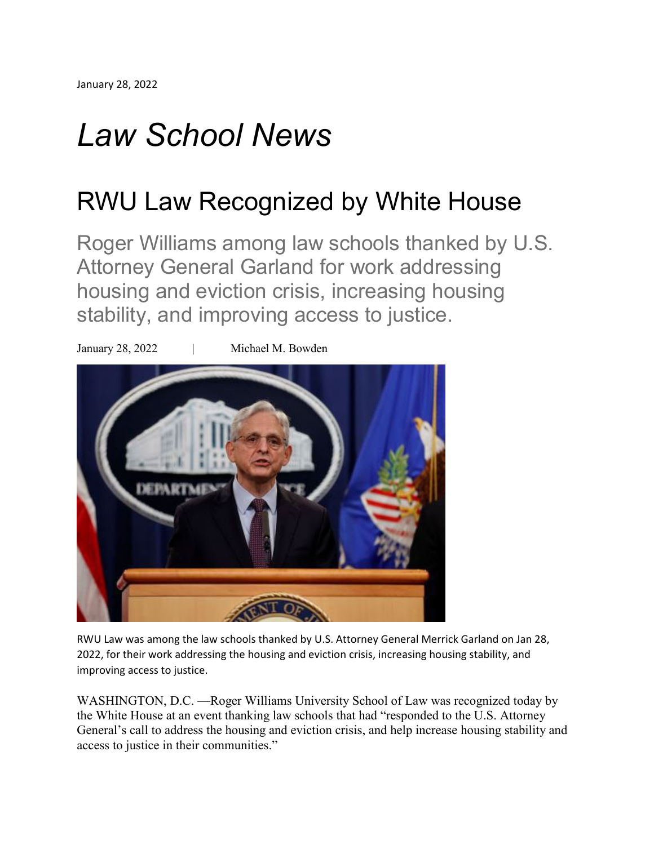# *Law School News*

## RWU Law Recognized by White House

Roger Williams among law schools thanked by U.S. Attorney General Garland for work addressing housing and eviction crisis, increasing housing stability, and improving access to justice.



RWU Law was among the law schools thanked by U.S. Attorney General Merrick Garland on Jan 28, 2022, for their work addressing the housing and eviction crisis, increasing housing stability, and improving access to justice.

WASHINGTON, D.C. —Roger Williams University School of Law was recognized today by the White House at an event thanking law schools that had "responded to the U.S. Attorney General's call to address the housing and eviction crisis, and help increase housing stability and access to justice in their communities."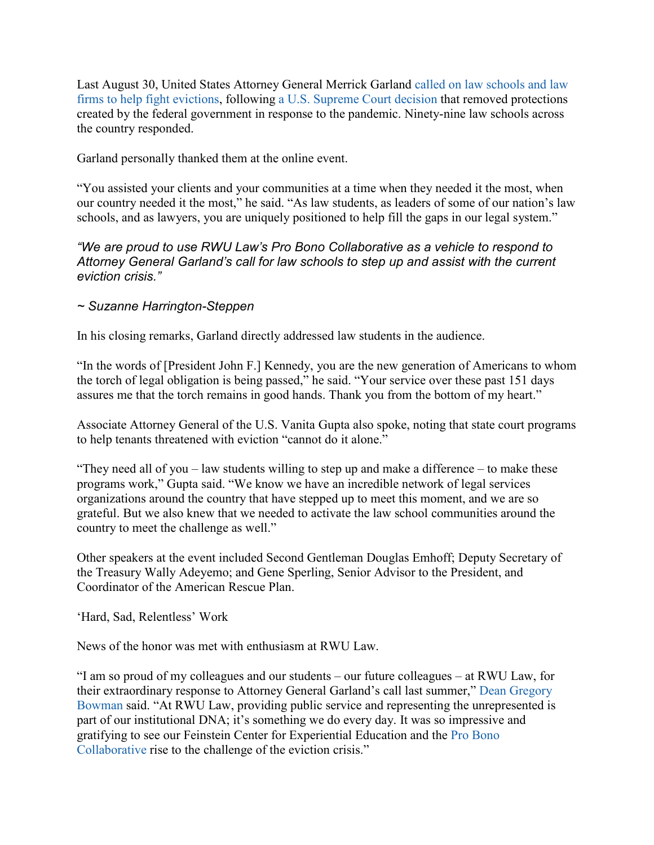Last August 30, United States Attorney General Merrick Garland called on law [schools](https://news.bloomberglaw.com/business-and-practice/garland-wants-big-law-firms-law-schools-to-help-fight-evictions) and law firms to help fight [evictions,](https://news.bloomberglaw.com/business-and-practice/garland-wants-big-law-firms-law-schools-to-help-fight-evictions) following a U.S. [Supreme](https://news.bloomberglaw.com/us-law-week/supreme-court-lifts-bidens-covid-19-moratorium-on-evictions) Court decision that removed protections created by the federal government in response to the pandemic. Ninety-nine law schools across the country responded.

Garland personally thanked them at the online event.

"You assisted your clients and your communities at a time when they needed it the most, when our country needed it the most," he said. "As law students, as leaders of some of our nation's law schools, and as lawyers, you are uniquely positioned to help fill the gaps in our legal system."

### *"We are proud to use RWU Law's Pro Bono Collaborative as a vehicle to respond to Attorney General Garland's call for law schools to step up and assist with the current eviction crisis."*

### *~ Suzanne Harrington-Steppen*

In his closing remarks, Garland directly addressed law students in the audience.

"In the words of [President John F.] Kennedy, you are the new generation of Americans to whom the torch of legal obligation is being passed," he said. "Your service over these past 151 days assures me that the torch remains in good hands. Thank you from the bottom of my heart."

Associate Attorney General of the U.S. Vanita Gupta also spoke, noting that state court programs to help tenants threatened with eviction "cannot do it alone."

"They need all of you – law students willing to step up and make a difference – to make these programs work," Gupta said. "We know we have an incredible network of legal services organizations around the country that have stepped up to meet this moment, and we are so grateful. But we also knew that we needed to activate the law school communities around the country to meet the challenge as well."

Other speakers at the event included Second Gentleman Douglas Emhoff; Deputy Secretary of the Treasury Wally Adeyemo; and Gene Sperling, Senior Advisor to the President, and Coordinator of the American Rescue Plan.

'Hard, Sad, Relentless' Work

News of the honor was met with enthusiasm at RWU Law.

"I am so proud of my colleagues and our students – our future colleagues – at RWU Law, for their extraordinary response to Attorney General Garland's call last summer," Dean [Gregory](https://law.rwu.edu/node/7466/) [Bowman](https://law.rwu.edu/node/7466/) said. "At RWU Law, providing public service and representing the unrepresented is part of our institutional DNA; it's something we do every day. It was so impressive and gratifying to see our Feinstein Center for Experiential Education and the Pro [Bono](https://law.rwu.edu/node/4061/) [Collaborative](https://law.rwu.edu/node/4061/) rise to the challenge of the eviction crisis."